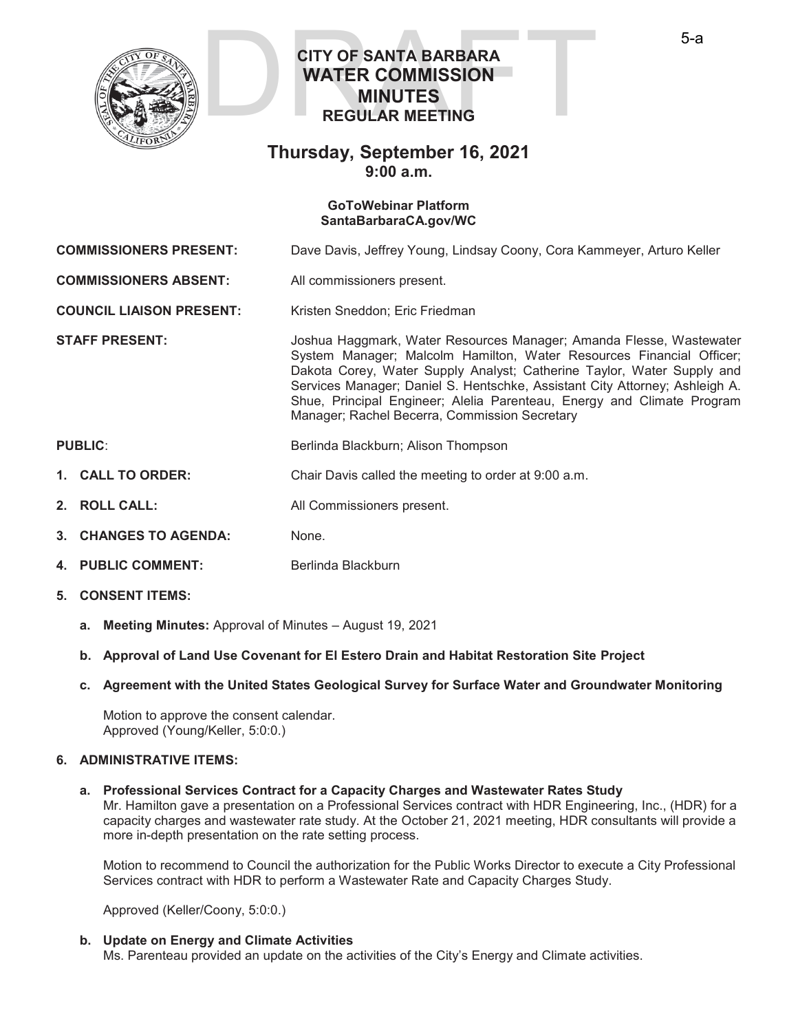

# **CITY OF SANTA BARBARA WATER COMMISSION MINUTES REGULAR MEETING**  CITY OF SANTA BARBARA<br>WATER COMMISSION<br>MINUTES<br>REGULAR MEETING

# **Thursday, September 16, 2021 9:00 a.m.**

#### **GoToWebinar Platform SantaBarbaraCA.gov/WC**

**COMMISSIONERS PRESENT:** Dave Davis, Jeffrey Young, Lindsay Coony, Cora Kammeyer, Arturo Keller

**COMMISSIONERS ABSENT:** All commissioners present.

**COUNCIL LIAISON PRESENT:** Kristen Sneddon; Eric Friedman

**STAFF PRESENT:** Joshua Haggmark, Water Resources Manager; Amanda Flesse, Wastewater System Manager; Malcolm Hamilton, Water Resources Financial Officer; Dakota Corey, Water Supply Analyst; Catherine Taylor, Water Supply and Services Manager; Daniel S. Hentschke, Assistant City Attorney; Ashleigh A. Shue, Principal Engineer; Alelia Parenteau, Energy and Climate Program Manager; Rachel Becerra, Commission Secretary

# **PUBLIC:** Berlinda Blackburn; Alison Thompson

- **1. CALL TO ORDER:** Chair Davis called the meeting to order at 9:00 a.m.
- **2. ROLL CALL:** All Commissioners present.
- 3. CHANGES TO AGENDA: None.
- **4. PUBLIC COMMENT:** Berlinda Blackburn
- **5. CONSENT ITEMS:**
	- **a. Meeting Minutes:** Approval of Minutes August 19, 2021
	- **b. Approval of Land Use Covenant for El Estero Drain and Habitat Restoration Site Project**
	- **c. Agreement with the United States Geological Survey for Surface Water and Groundwater Monitoring**

Motion to approve the consent calendar. Approved (Young/Keller, 5:0:0.)

#### **6. ADMINISTRATIVE ITEMS:**

#### **a. Professional Services Contract for a Capacity Charges and Wastewater Rates Study**

Mr. Hamilton gave a presentation on a Professional Services contract with HDR Engineering, Inc., (HDR) for a capacity charges and wastewater rate study. At the October 21, 2021 meeting, HDR consultants will provide a more in-depth presentation on the rate setting process.

Motion to recommend to Council the authorization for the Public Works Director to execute a City Professional Services contract with HDR to perform a Wastewater Rate and Capacity Charges Study.

Approved (Keller/Coony, 5:0:0.)

# **b. Update on Energy and Climate Activities**

Ms. Parenteau provided an update on the activities of the City's Energy and Climate activities.